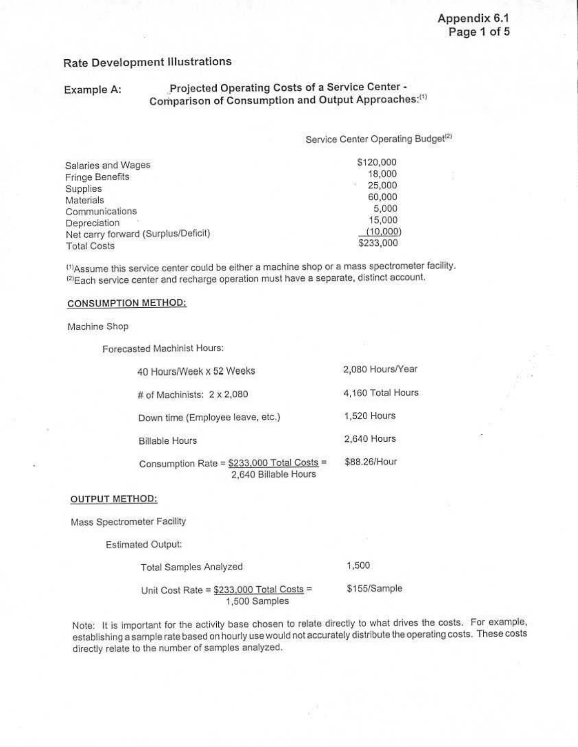## Rate Development 111ustrations

## Example A: Projected Operating Costs of a Service Center -Comparison of Consumption and Output Approaches:<sup>(1)</sup>

Service Center Operating Budget<sup>[2]</sup>

47112431044722220104248

| Salaries and Wages                  | \$120,000 |  |
|-------------------------------------|-----------|--|
| Fringe Benefits                     | 18,000    |  |
| Supplies                            | 25,000    |  |
| Materials                           | 60,000    |  |
| Communications                      | 5,000     |  |
| Depreciation                        | 15,000    |  |
| Net carry forward (Surplus/Deficit) | (10,000)  |  |
| <b>Total Costs</b>                  | \$233,000 |  |

<sup>(1)</sup>Assume this service center could be either a machine shop or a mass spectrometer facility. <sup>(2)</sup>Each service center and recharge operation must have a separate, distinct account.

#### CONSUMPTION METHOD:

Machine Shop

Forecasled Machinist Hours:

| 40 Hours/Week x 52 Weeks | 2,080 Hours/Year |
|--------------------------|------------------|
|--------------------------|------------------|

# of Machinists: 2 x 2,080 4,160 Total Hours

Down time (Employee leave, etc.) 1,520 Hours

Billable Hours 2,640 Hours

Consumption Rate = \$233,000 Total Costs = \$88.26/Hour

2,640 Billable Hours

#### OUTPUT METHOD:

Mass Spectrometer Facility

Estimated Output:

Total Samples Analyzed 1,500

Unit Cost Rate =  $$233,000$  Total Costs = \$155/Sample 1,500 Samples

Note: It is important for the activity base chosen to relate directly to what drives the costs. For example, establishing a sample rate based on hourly use would not accurately distribute the operating costs. These costs directly relate to the number or samples analyzed.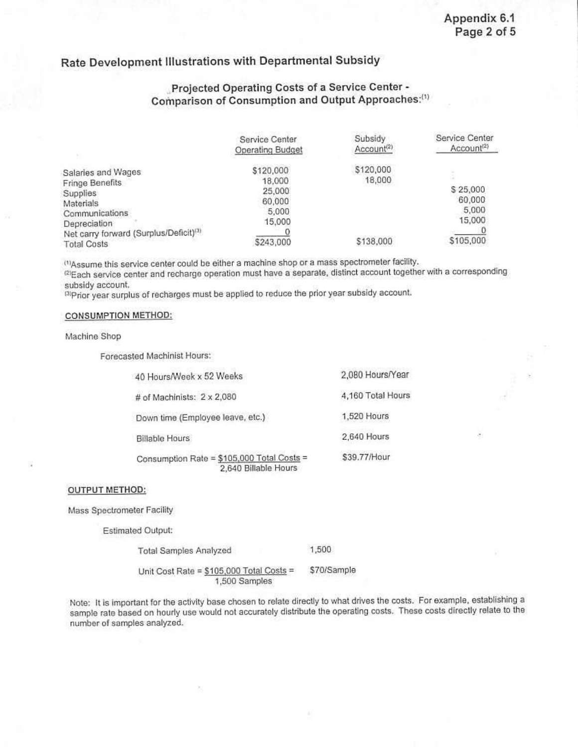## **Rate Development Illustrations with Departmental Subsidy**

### **.,Projected Operating Costs of a Service Center· Comparison of Consumption and Output Approaches:C<sup>1</sup> >**

|                                                                    | Service Center<br>Operating Budget | Subsidy<br>Account <sup>(2)</sup> | Service Center<br>Account <sup>(2)</sup> |
|--------------------------------------------------------------------|------------------------------------|-----------------------------------|------------------------------------------|
| Salaries and Wages                                                 | \$120,000                          | \$120,000<br>18,000               |                                          |
| Fringe Benefits<br>Supplies                                        | 18,000<br>25,000                   |                                   | \$25,000                                 |
| Materials<br>Communications                                        | 60,000<br>5,000                    |                                   | 60,000<br>5,000                          |
| Depreciation<br>Net carry forward (Surplus/Deficit) <sup>(3)</sup> | 15,000                             |                                   | 15,000                                   |
| <b>Total Costs</b>                                                 | \$243,000                          | \$138,000                         | \$105,000                                |

<sup>(1)</sup>Assume this service center could be either a machine shop or a mass spectrometer facility.

<sup>(2)</sup>Each service center and recharge operation must have a separate, distinct account together with a corresponding subsidy account.

<sup>(3)</sup>Prior year surplus of recharges must be applied to reduce the prior year subsidy account.

#### CONSUMPTION METHOD:

Machine Shop

Forecasted Machinist Hours:

| 40 Hours/Week x 52 Weeks                                           | 2,080 Hours/Year  |
|--------------------------------------------------------------------|-------------------|
| # of Machinists: 2 x 2,080                                         | 4,160 Total Hours |
| Down time (Employee leave, etc.)                                   | 1,520 Hours       |
| <b>Billable Hours</b>                                              | 2,640 Hours       |
| Consumption Rate = \$105,000 Total Costs =<br>2,640 Billable Hours | \$39.77/Hour      |
|                                                                    |                   |

#### OUTPUT METHOD:

Mass Spectrometer Facility

Estimated Output:

Total Samples Analyzed 1,500

Unit Cost Rate = \$105,000 Total Costs = \$70/Sample 1,500 Samples

Note: It is important for the activity base chosen to relate directly to what drives the costs. For example. establishing a sample rata based on hourly use would not accurately distribute the operating costs. These costs directly relate to the number of samples analyzed.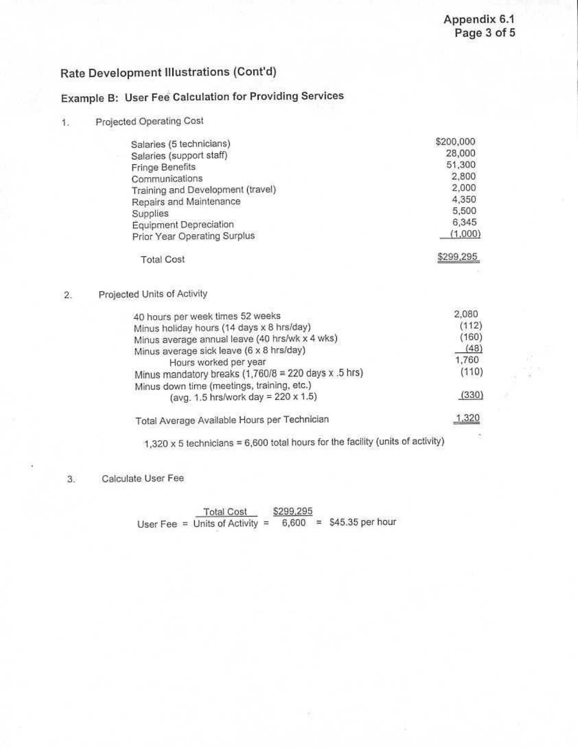\$299,295

# **Rate Development Illustrations (Cont'd)**

# **Example B: User Fee· Calculation for Providing Services**

**1.** Projected Operating Cost

| Salaries (5 technicians)          | \$200,000 |
|-----------------------------------|-----------|
| Salaries (support staff)          | 28,000    |
| Fringe Benefits                   | 51,300    |
| Communications                    | 2,800     |
| Training and Development (travel) | 2,000     |
| Repairs and Maintenance           | 4,350     |
| Supplies                          | 5,500     |
| Equipment Depreciation            | 6,345     |
| Prior Year Operating Surplus      | (1,000)   |
|                                   |           |

### 2. Projected Units of Activity

Total Cost

| 2,080 |
|-------|
| (112) |
| (160) |
| (48)  |
| 1,760 |
| (110) |
|       |
| (330) |
| 1,320 |
|       |

 $1,320 \times 5$  technicians = 6,600 total hours for the facility (units of activity)

3. Calculate User Fee

Total Cost \$299,295 User Fee = Units of Activity =  $\overline{6,600}$  = \$45.35 per hour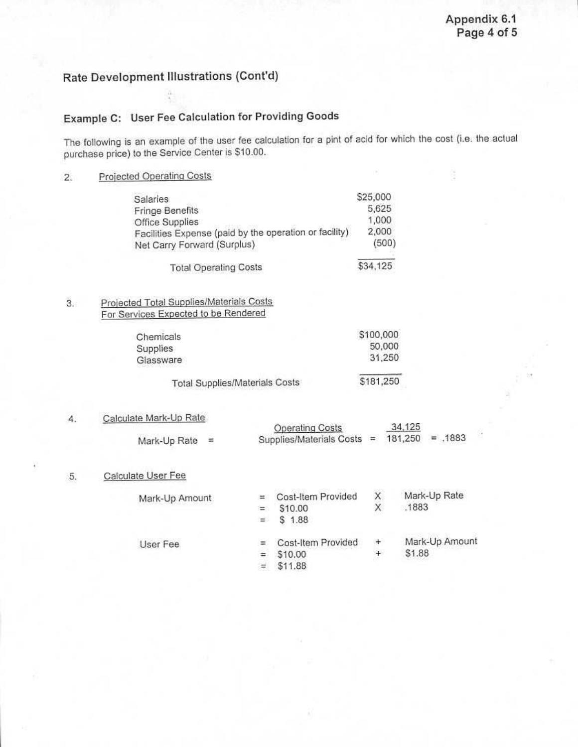## Rate Development Illustrations (Cont'd)

# Example C: User Fee Calculation for Providing Goods

The following is an example of the user fee calculation for a pint of acid for which the cost (i.e. the actual purchase price) to the Service Center is 510.00.

2. Proiected Operating Costs

| <b>Salaries</b>                                        | \$25,000 |
|--------------------------------------------------------|----------|
| Fringe Benefits                                        | 5,625    |
| Office Supplies                                        | 1,000    |
| Facilities Expense (paid by the operation or facility) | 2,000    |
| Net Carry Forward (Surplus)                            | (500)    |
| <b>Total Operating Costs</b>                           | \$34,125 |

### 3. Proiected Total Supplies/Materials Costs For Services Expected to be Rendered

| Chemicals                      | \$100,000 |
|--------------------------------|-----------|
| Supplies                       | 50,000    |
| Glassware                      | 31,250    |
| Total Supplies/Materials Costs | \$181,250 |

#### 4. Calculate Mark-Up Rate

|                  | <b>Operating Costs</b>                       | 34,125 |  |
|------------------|----------------------------------------------|--------|--|
| Mark-Up Rate $=$ | Supplies/Materials Costs = $181,250$ = .1883 |        |  |

#### 5. Calculate User Fee

| Mark-Up Amount |     | Cost-Item Provided | X   | Mark-Up Rate   |
|----------------|-----|--------------------|-----|----------------|
|                | Ξ.  | \$10.00            | X   | .1883          |
|                | $=$ | 1.88<br>S.         |     |                |
| User Fee       |     | Cost-Item Provided | ÷   | Mark-Up Amount |
|                |     | \$10.00            | $+$ | \$1.88         |
|                |     | \$11.88            |     |                |
|                |     |                    |     |                |